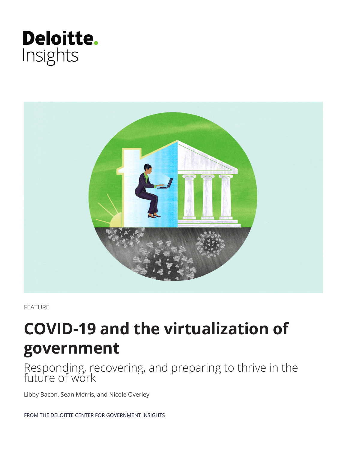



FEATURE

# **COVID-19 and the virtualization of government**

Responding, recovering, and preparing to thrive in the future of work

Libby Bacon, Sean Morris, and Nicole Overley

FROM THE DELOITTE CENTER FOR GOVERNMENT INSIGHTS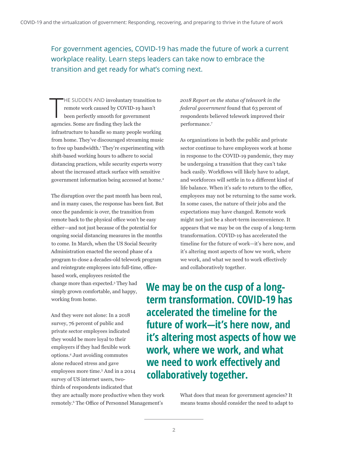For government agencies, COVID-19 has made the future of work a current workplace reality. Learn steps leaders can take now to embrace the transition and get ready for what's coming next.

 $\prod$ HE SUDDEN AND involuntary transition to remote work caused by COVID-19 hasn't been perfectly smooth for government agencies. Some are finding they lack the infrastructure to handle so many people working from home. They've discouraged streaming music to free up bandwidth.<sup>1</sup> They're experimenting with shift-based working hours to adhere to social distancing practices, while security experts worry about the increased attack surface with sensitive government information being accessed at home.<sup>2</sup>

The disruption over the past month has been real, and in many cases, the response has been fast. But once the pandemic is over, the transition from remote back to the physical office won't be easy either—and not just because of the potential for ongoing social distancing measures in the months to come. In March, when the US Social Security Administration enacted the second phase of a program to close a decades-old telework program and reintegrate employees into full-time, office-

based work, employees resisted the change more than expected.3 They had simply grown comfortable, and happy, working from home.

And they were not alone: In a 2018 survey, 76 percent of public and private sector employees indicated they would be more loyal to their employers if they had flexible work options.4 Just avoiding commutes alone reduced stress and gave employees more time.<sup>5</sup> And in a 2014 survey of US internet users, twothirds of respondents indicated that

they are actually more productive when they work remotely.6 The Office of Personnel Management's

*2018 Report on the status of telework in the federal government* found that 63 percent of respondents believed telework improved their performance.7

As organizations in both the public and private sector continue to have employees work at home in response to the COVID-19 pandemic, they may be undergoing a transition that they can't take back easily. Workflows will likely have to adapt, and workforces will settle in to a different kind of life balance. When it's safe to return to the office, employees may not be returning to the same work. In some cases, the nature of their jobs and the expectations may have changed. Remote work might not just be a short-term inconvenience. It appears that we may be on the cusp of a long-term transformation. COVID-19 has accelerated the timeline for the future of work—it's here now, and it's altering most aspects of how we work, where we work, and what we need to work effectively and collaboratively together.

**We may be on the cusp of a longterm transformation. COVID-19 has accelerated the timeline for the future of work—it's here now, and it's altering most aspects of how we work, where we work, and what we need to work effectively and collaboratively together.**

> What does that mean for government agencies? It means teams should consider the need to adapt to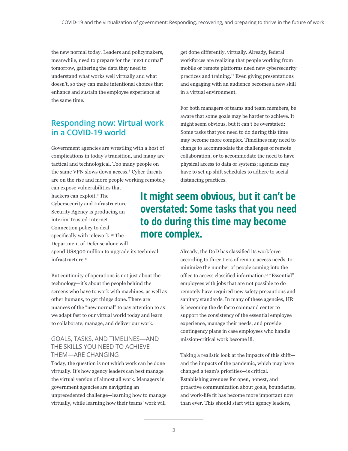the new normal today. Leaders and policymakers, meanwhile, need to prepare for the "next normal" tomorrow, gathering the data they need to understand what works well virtually and what doesn't, so they can make intentional choices that enhance and sustain the employee experience at the same time.

### **Responding now: Virtual work in a COVID-19 world**

Government agencies are wrestling with a host of complications in today's transition, and many are tactical and technological. Too many people on the same VPN slows down access.<sup>8</sup> Cyber threats are on the rise and more people working remotely

can expose vulnerabilities that hackers can exploit.9 The Cybersecurity and Infrastructure Security Agency is producing an interim Trusted Internet Connection policy to deal specifically with telework.<sup>10</sup> The Department of Defense alone will

spend US\$300 million to upgrade its technical infrastructure.<sup>11</sup>

But continuity of operations is not just about the technology—it's about the people behind the screens who have to work with machines, as well as other humans, to get things done. There are nuances of the "new normal" to pay attention to as we adapt fast to our virtual world today and learn to collaborate, manage, and deliver our work.

#### GOALS, TASKS, AND TIMELINES—AND THE SKILLS YOU NEED TO ACHIEVE THEM—ARE CHANGING

Today, the question is not which work can be done virtually. It's how agency leaders can best manage the virtual version of almost all work. Managers in government agencies are navigating an unprecedented challenge—learning how to manage virtually, while learning how their teams' work will

get done differently, virtually. Already, federal workforces are realizing that people working from mobile or remote platforms need new cybersecurity practices and training.12 Even giving presentations and engaging with an audience becomes a new skill in a virtual environment.

For both managers of teams and team members, be aware that some goals may be harder to achieve. It might seem obvious, but it can't be overstated: Some tasks that you need to do during this time may become more complex. Timelines may need to change to accommodate the challenges of remote collaboration, or to accommodate the need to have physical access to data or systems; agencies may have to set up shift schedules to adhere to social distancing practices.

### **It might seem obvious, but it can't be overstated: Some tasks that you need to do during this time may become more complex.**

Already, the DoD has classified its workforce according to three tiers of remote access needs, to minimize the number of people coming into the office to access classified information.13 "Essential" employees with jobs that are not possible to do remotely have required new safety precautions and sanitary standards. In many of these agencies, HR is becoming the de facto command center to support the consistency of the essential employee experience, manage their needs, and provide contingency plans in case employees who handle mission-critical work become ill.

Taking a realistic look at the impacts of this shift and the impacts of the pandemic, which may have changed a team's priorities—is critical. Establishing avenues for open, honest, and proactive communication about goals, boundaries, and work-life fit has become more important now than ever. This should start with agency leaders,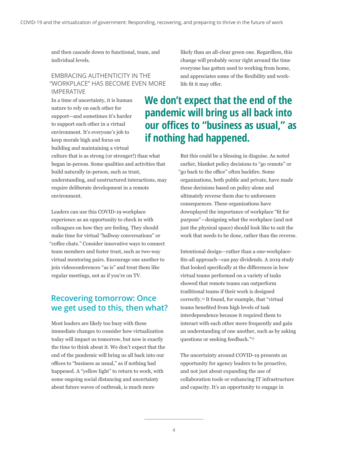and then cascade down to functional, team, and individual levels.

#### EMBRACING AUTHENTICITY IN THE "WORKPLACE" HAS BECOME EVEN MORE IMPERATIVE

In a time of uncertainty, it is human nature to rely on each other for support—and sometimes it's harder to support each other in a virtual environment. It's everyone's job to keep morale high and focus on building and maintaining a virtual

culture that is as strong (or stronger!) than what began in-person. Some qualities and activities that build naturally in-person, such as trust, understanding, and unstructured interactions, may require deliberate development in a remote environment.

Leaders can use this COVID-19 workplace experience as an opportunity to check in with colleagues on how they are feeling. They should make time for virtual "hallway conversations" or "coffee chats." Consider innovative ways to connect team members and foster trust, such as two-way virtual mentoring pairs. Encourage one another to join videoconferences "as is" and treat them like regular meetings, not as if you're on TV.

### **Recovering tomorrow: Once we get used to this, then what?**

Most leaders are likely too busy with these immediate changes to consider how virtualization today will impact us tomorrow, but now is exactly the time to think about it. We don't expect that the end of the pandemic will bring us all back into our offices to "business as usual," as if nothing had happened. A "yellow light" to return to work, with some ongoing social distancing and uncertainty about future waves of outbreak, is much more

likely than an all-clear green one. Regardless, this change will probably occur right around the time everyone has gotten used to working from home, and appreciates some of the flexibility and worklife fit it may offer.

## **We don't expect that the end of the pandemic will bring us all back into our offices to "business as usual," as if nothing had happened.**

But this could be a blessing in disguise. As noted earlier, blanket policy decisions to "go remote" or "go back to the office" often backfire. Some organizations, both public and private, have made these decisions based on policy alone and ultimately reverse them due to unforeseen consequences. These organizations have downplayed the importance of workplace "fit for purpose"—designing what the workplace (and not just the physical space) should look like to suit the work that needs to be done, rather than the reverse.

Intentional design—rather than a one-workplacefits-all approach—can pay dividends. A 2019 study that looked specifically at the differences in how virtual teams performed on a variety of tasks showed that remote teams can outperform traditional teams if their work is designed correctly.14 It found, for example, that "virtual teams benefited from high levels of task interdependence because it required them to interact with each other more frequently and gain an understanding of one another, such as by asking questions or seeking feedback."15

The uncertainty around COVID-19 presents an opportunity for agency leaders to be proactive, and not just about expanding the use of collaboration tools or enhancing IT infrastructure and capacity. It's an opportunity to engage in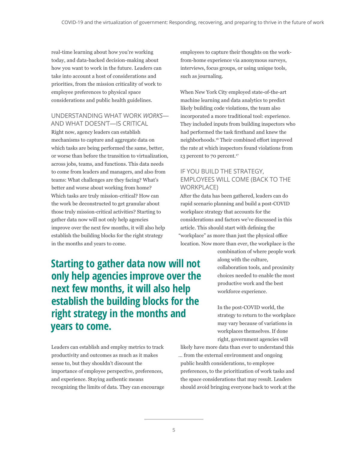real-time learning about how you're working today, and data-backed decision-making about how you want to work in the future. Leaders can take into account a host of considerations and priorities, from the mission criticality of work to employee preferences to physical space considerations and public health guidelines.

UNDERSTANDING WHAT WORK *WORKS*— AND WHAT DOESN'T—IS CRITICAL

Right now, agency leaders can establish mechanisms to capture and aggregate data on which tasks are being performed the same, better, or worse than before the transition to virtualization, across jobs, teams, and functions. This data needs to come from leaders and managers, and also from teams: What challenges are they facing? What's better and worse about working from home? Which tasks are truly mission-critical? How can the work be deconstructed to get granular about those truly mission-critical activities? Starting to gather data now will not only help agencies improve over the next few months, it will also help establish the building blocks for the right strategy in the months and years to come.

employees to capture their thoughts on the workfrom-home experience via anonymous surveys, interviews, focus groups, or using unique tools, such as journaling.

When New York City employed state-of-the-art machine learning and data analytics to predict likely building code violations, the team also incorporated a more traditional tool: experience. They included inputs from building inspectors who had performed the task firsthand and knew the neighborhoods.16 Their combined effort improved the rate at which inspectors found violations from 13 percent to 70 percent.<sup>17</sup>

### IF YOU BUILD THE STRATEGY, EMPLOYEES WILL COME (BACK TO THE WORKPLACE)

After the data has been gathered, leaders can do rapid scenario planning and build a post-COVID workplace strategy that accounts for the considerations and factors we've discussed in this article. This should start with defining the "workplace" as more than just the physical office location. Now more than ever, the workplace is the

**Starting to gather data now will not only help agencies improve over the next few months, it will also help establish the building blocks for the right strategy in the months and years to come.**

Leaders can establish and employ metrics to track productivity and outcomes as much as it makes sense to, but they shouldn't discount the importance of employee perspective, preferences, and experience. Staying authentic means recognizing the limits of data. They can encourage combination of where people work along with the culture, collaboration tools, and proximity choices needed to enable the most productive work and the best workforce experience.

In the post-COVID world, the strategy to return to the workplace may vary because of variations in workplaces themselves. If done right, government agencies will

likely have more data than ever to understand this … from the external environment and ongoing public health considerations, to employee preferences, to the prioritization of work tasks and the space considerations that may result. Leaders should avoid bringing everyone back to work at the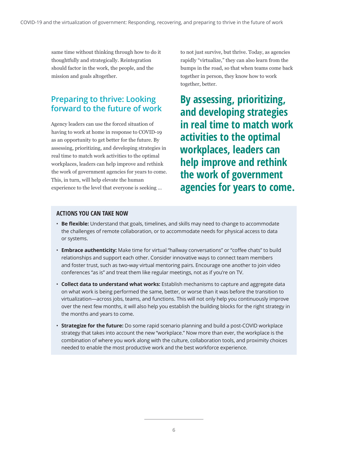same time without thinking through how to do it thoughtfully and strategically. Reintegration should factor in the work, the people, and the mission and goals altogether.

### **Preparing to thrive: Looking forward to the future of work**

Agency leaders can use the forced situation of having to work at home in response to COVID-19 as an opportunity to get better for the future. By assessing, prioritizing, and developing strategies in real time to match work activities to the optimal workplaces, leaders can help improve and rethink the work of government agencies for years to come. This, in turn, will help elevate the human experience to the level that everyone is seeking …

to not just survive, but thrive. Today, as agencies rapidly "virtualize," they can also learn from the bumps in the road, so that when teams come back together in person, they know how to work together, better.

**By assessing, prioritizing, and developing strategies in real time to match work activities to the optimal workplaces, leaders can help improve and rethink the work of government agencies for years to come.**

#### **ACTIONS YOU CAN TAKE NOW**

- **Be flexible:** Understand that goals, timelines, and skills may need to change to accommodate the challenges of remote collaboration, or to accommodate needs for physical access to data or systems.
- **Embrace authenticity:** Make time for virtual "hallway conversations" or "coffee chats" to build relationships and support each other. Consider innovative ways to connect team members and foster trust, such as two-way virtual mentoring pairs. Encourage one another to join video conferences "as is" and treat them like regular meetings, not as if you're on TV.
- **Collect data to understand what works:** Establish mechanisms to capture and aggregate data on what work is being performed the same, better, or worse than it was before the transition to virtualization—across jobs, teams, and functions. This will not only help you continuously improve over the next few months, it will also help you establish the building blocks for the right strategy in the months and years to come.
- **Strategize for the future:** Do some rapid scenario planning and build a post-COVID workplace strategy that takes into account the new "workplace." Now more than ever, the workplace is the combination of where you work along with the culture, collaboration tools, and proximity choices needed to enable the most productive work and the best workforce experience.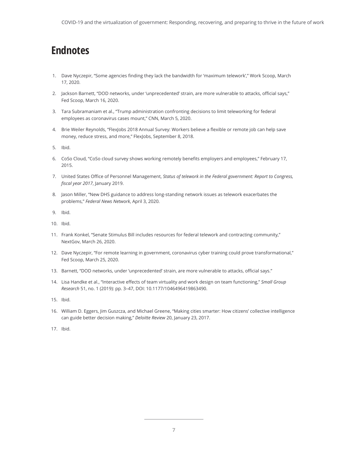## **Endnotes**

- 1. Dave Nyczepir, "Some agencies finding they lack the bandwidth for 'maximum telework'," Work Scoop, March 17, 2020.
- 2. Jackson Barnett, "DOD networks, under 'unprecedented' strain, are more vulnerable to attacks, official says," Fed Scoop, March 16, 2020.
- 3. Tara Subramaniam et al., "Trump administration confronting decisions to limit teleworking for federal employees as coronavirus cases mount," CNN, March 5, 2020.
- 4. Brie Weiler Reynolds, "FlexJobs 2018 Annual Survey: Workers believe a flexible or remote job can help save money, reduce stress, and more," FlexJobs, September 8, 2018.

5. Ibid.

- 6. CoSo Cloud, "CoSo cloud survey shows working remotely benefits employers and employees," February 17, 2015.
- 7. United States Office of Personnel Management, *Status of telework in the Federal government: Report to Congress, fiscal year 2017*, January 2019.
- 8. Jason Miller, "New DHS guidance to address long-standing network issues as telework exacerbates the problems," *Federal News Network*, April 3, 2020.
- 9. Ibid.
- 10. Ibid.
- 11. Frank Konkel, "Senate Stimulus Bill includes resources for federal telework and contracting community," NextGov, March 26, 2020.
- 12. Dave Nyczepir, "For remote learning in government, coronavirus cyber training could prove transformational," Fed Scoop, March 25, 2020.
- 13. Barnett, "DOD networks, under 'unprecedented' strain, are more vulnerable to attacks, official says."
- 14. Lisa Handke et al., "Interactive effects of team virtuality and work design on team functioning," *Small Group Research* 51, no. 1 (2019): pp. 3–47, DOI: 10.1177/1046496419863490.
- 15. Ibid.
- 16. William D. Eggers, Jim Guszcza, and Michael Greene, "Making cities smarter: How citizens' collective intelligence can guide better decision making," *Deloitte Review* 20, January 23, 2017.
- 17. Ibid.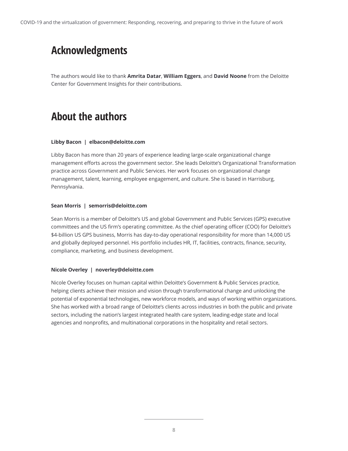## **Acknowledgments**

The authors would like to thank **Amrita Datar**, **William Eggers**, and **David Noone** from the Deloitte Center for Government Insights for their contributions.

## **About the authors**

#### **Libby Bacon | elbacon@deloitte.com**

Libby Bacon has more than 20 years of experience leading large-scale organizational change management efforts across the government sector. She leads Deloitte's Organizational Transformation practice across Government and Public Services. Her work focuses on organizational change management, talent, learning, employee engagement, and culture. She is based in Harrisburg, Pennsylvania.

#### **Sean Morris | semorris@deloitte.com**

Sean Morris is a member of Deloitte's US and global Government and Public Services (GPS) executive committees and the US firm's operating committee. As the chief operating officer (COO) for Deloitte's \$4-billion US GPS business, Morris has day-to-day operational responsibility for more than 14,000 US and globally deployed personnel. His portfolio includes HR, IT, facilities, contracts, finance, security, compliance, marketing, and business development.

#### **Nicole Overley | noverley@deloitte.com**

Nicole Overley focuses on human capital within Deloitte's Government & Public Services practice, helping clients achieve their mission and vision through transformational change and unlocking the potential of exponential technologies, new workforce models, and ways of working within organizations. She has worked with a broad range of Deloitte's clients across industries in both the public and private sectors, including the nation's largest integrated health care system, leading-edge state and local agencies and nonprofits, and multinational corporations in the hospitality and retail sectors.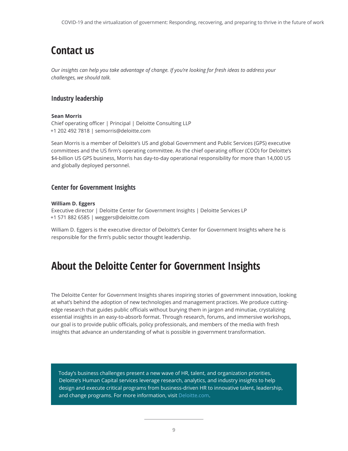## **Contact us**

*Our insights can help you take advantage of change. If you're looking for fresh ideas to address your challenges, we should talk.*

### **Industry leadership**

#### **Sean Morris**

Chief operating officer | Principal | Deloitte Consulting LLP +1 202 492 7818 | semorris@deloitte.com

Sean Morris is a member of Deloitte's US and global Government and Public Services (GPS) executive committees and the US firm's operating committee. As the chief operating officer (COO) for Deloitte's \$4-billion US GPS business, Morris has day-to-day operational responsibility for more than 14,000 US and globally deployed personnel.

#### **Center for Government Insights**

#### **William D. Eggers**

Executive director | Deloitte Center for Government Insights | Deloitte Services LP +1 571 882 6585 | weggers@deloitte.com

William D. Eggers is the executive director of Deloitte's Center for Government Insights where he is responsible for the firm's public sector thought leadership.

### **About the Deloitte Center for Government Insights**

The Deloitte Center for Government Insights shares inspiring stories of government innovation, looking at what's behind the adoption of new technologies and management practices. We produce cuttingedge research that guides public officials without burying them in jargon and minutiae, crystalizing essential insights in an easy-to-absorb format. Through research, forums, and immersive workshops, our goal is to provide public officials, policy professionals, and members of the media with fresh insights that advance an understanding of what is possible in government transformation.

Today's business challenges present a new wave of HR, talent, and organization priorities. Deloitte's Human Capital services leverage research, analytics, and industry insights to help design and execute critical programs from business-driven HR to innovative talent, leadership, and change programs. For more information, visit [Deloitte.com.](https://www2.deloitte.com/us/en/pages/human-capital/solutions/human-capital.html)